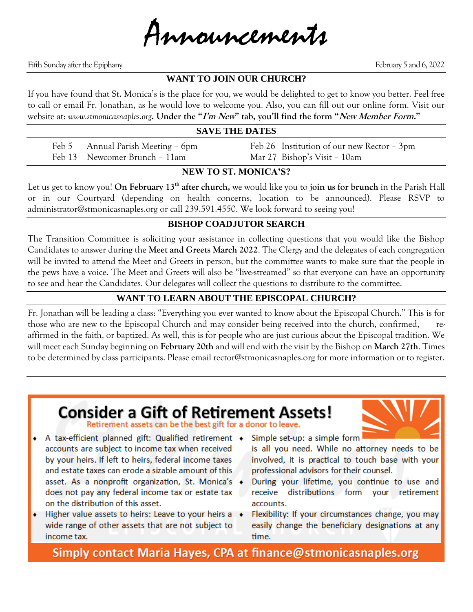

Fifth Sunday after the Epiphany February 5 and 6, 2022

# **WANT TO JOIN OUR CHURCH?**

If you have found that St. Monica's is the place for you, we would be delighted to get to know you better. Feel free to call or email Fr. Jonathan, as he would love to welcome you. Also, you can fill out our online form. Visit our website at: *www.stmonicasnaples.org***. Under the "I'm New" tab, you'll find the form "New Member Form."**

# **SAVE THE DATES**

Feb 13 Newcomer Brunch – 11am Mar 27 Bishop's Visit – 10am

Feb 5 Annual Parish Meeting – 6pm Feb 26 Institution of our new Rector – 3pm

## **NEW TO ST. MONICA'S?**

Let us get to know you! **On February 13th after church,** we would like you to **join us for brunch** in the Parish Hall or in our Courtyard (depending on health concerns, location to be announced). Please RSVP to administrator@stmonicasnaples.org or call 239.591.4550. We look forward to seeing you!

## **BISHOP COADJUTOR SEARCH**

The Transition Committee is soliciting your assistance in collecting questions that you would like the Bishop Candidates to answer during the **Meet and Greets March 2022**. The Clergy and the delegates of each congregation will be invited to attend the Meet and Greets in person, but the committee wants to make sure that the people in the pews have a voice. The Meet and Greets will also be "live-streamed" so that everyone can have an opportunity to see and hear the Candidates. Our delegates will collect the questions to distribute to the committee.

# **WANT TO LEARN ABOUT THE EPISCOPAL CHURCH?**

Fr. Jonathan will be leading a class: "Everything you ever wanted to know about the Episcopal Church." This is for those who are new to the Episcopal Church and may consider being received into the church, confirmed, reaffirmed in the faith, or baptized. As well, this is for people who are just curious about the Episcopal tradition. We will meet each Sunday beginning on **February 20th** and will end with the visit by the Bishop on **March 27th**. Times to be determined by class participants. Please email rector@stmonicasnaples.org for more information or to register.

# **Consider a Gift of Retirement Assets!**



Retirement assets can be the best gift for a donor to leave.

- A tax-efficient planned gift: Qualified retirement accounts are subject to income tax when received by your heirs. If left to heirs, federal income taxes and estate taxes can erode a sizable amount of this asset. As a nonprofit organization, St. Monica's • does not pay any federal income tax or estate tax on the distribution of this asset.
- Higher value assets to heirs: Leave to your heirs a wide range of other assets that are not subject to income tax.
- Simple set-up: a simple form is all you need. While no attorney needs to be involved, it is practical to touch base with your professional advisors for their counsel.
- During your lifetime, you continue to use and receive distributions form your retirement accounts.
- Flexibility: If your circumstances change, you may easily change the beneficiary designations at any time.

Simply contact Maria Hayes, CPA at finance@stmonicasnaples.org